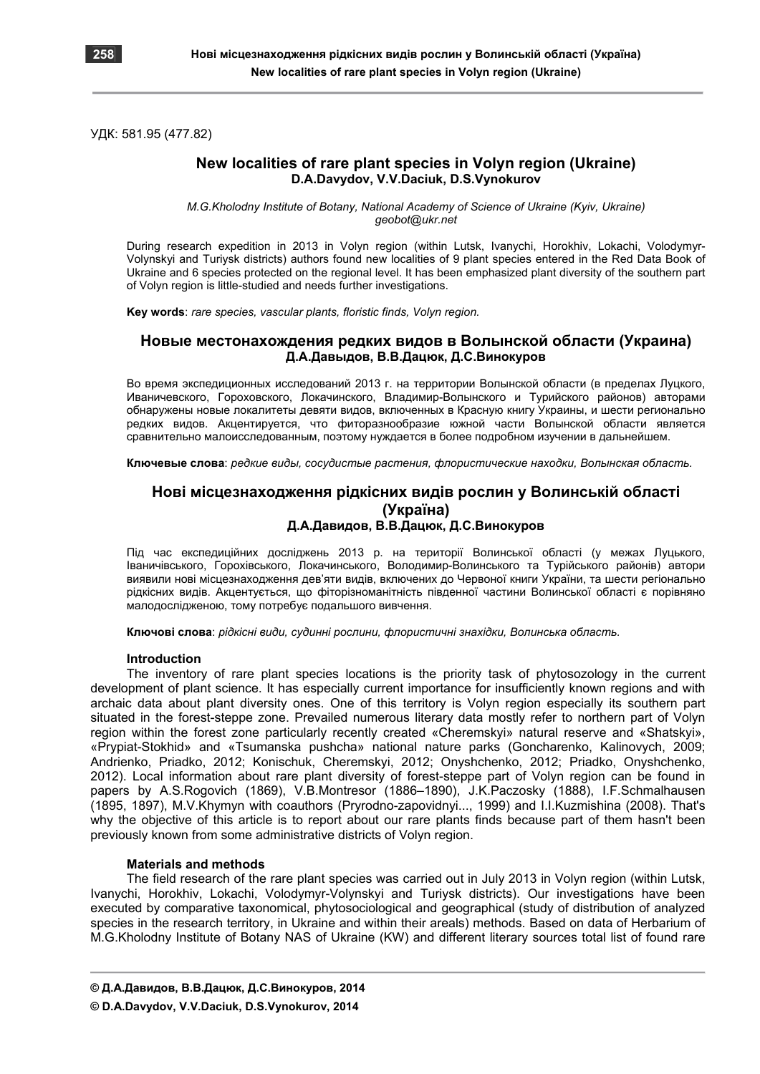

УДК: 581.95 (477.82)

# **New localities of rare plant species in Volyn region (Ukraine) D.A.Davydov, V.V.Daciuk, D.S.Vynokurov**

*M.G.Kholodny Institute of Botany, National Academy of Science of Ukraine (Kyiv, Ukraine) geobot@ukr.net* 

During research expedition in 2013 in Volyn region (within Lutsk, Ivanychi, Horokhiv, Lokachi, Volodymyr-Volynskyi and Turiysk districts) authors found new localities of 9 plant species entered in the Red Data Book of Ukraine and 6 species protected on the regional level. It has been emphasized plant diversity of the southern part of Volyn region is little-studied and needs further investigations.

**Key words**: *rare species, vascular plants, floristic finds, Volyn region.*

# **Новые местонахождения редких видов в Волынской области (Украина) Д.А.Давыдов, В.В.Дацюк, Д.С.Винокуров**

Во время экспедиционных исследований 2013 г. на территории Волынской области (в пределах Луцкого, Иваничевского, Гороховского, Локачинского, Владимир-Волынского и Турийского районов) авторами обнаружены новые локалитеты девяти видов, включенных в Красную книгу Украины, и шести регионально редких видов. Акцентируется, что фиторазнообразие южной части Волынской области является сравнительно малоисследованным, поэтому нуждается в более подробном изучении в дальнейшем.

**Ключевые слова**: *редкие виды, сосудистые растения, флористические находки, Волынская область.*

# **Нові місцезнаходження рідкісних видів рослин у Волинській області (Україна) Д.А.Давидов, В.В.Дацюк, Д.С.Винокуров**

Під час експедиційних досліджень 2013 р. на території Волинської області (у межах Луцького, Іваничівського, Горохівського, Локачинського, Володимир-Волинського та Турійського районів) автори виявили нові місцезнаходження дев'яти видів, включених до Червоної книги України, та шести регіонально рідкісних видів. Акцентується, що фіторізноманітність південної частини Волинської області є порівняно малодослідженою, тому потребує подальшого вивчення.

**Ключові слова**: *рідкісні види, судинні рослини, флористичні знахідки, Волинська область.*

## **Introduction**

The inventory of rare plant species locations is the priority task of phytosozology in the current development of plant science. It has especially current importance for insufficiently known regions and with archaic data about plant diversity ones. One of this territory is Volyn region especially its southern part situated in the forest-steppe zone. Prevailed numerous literary data mostly refer to northern part of Volyn region within the forest zone particularly recently created «Cheremskyi» natural reserve and «Shatskyi», «Prypiat-Stokhid» and «Tsumanska pushcha» national nature parks (Goncharenko, Kalinovych, 2009; Andrienko, Priadko, 2012; Konischuk, Cheremskyi, 2012; Onyshchenko, 2012; Priadko, Onyshchenko, 2012). Local information about rare plant diversity of forest-steppe part of Volyn region can be found in papers by A.S.Rogovich (1869), V.B.Montresor (1886–1890), J.K.Paczosky (1888), I.F.Schmalhausen (1895, 1897), M.V.Khymyn with coauthors (Pryrodno-zapovidnyi..., 1999) and I.I.Kuzmishina (2008). That's why the objective of this article is to report about our rare plants finds because part of them hasn't been previously known from some administrative districts of Volyn region.

## **Materials and methods**

The field research of the rare plant species was carried out in July 2013 in Volyn region (within Lutsk, Ivanychi, Horokhiv, Lokachi, Volodymyr-Volynskyi and Turiysk districts). Our investigations have been executed by comparative taxonomical, phytosociological and geographical (study of distribution of analyzed species in the research territory, in Ukraine and within their areals) methods. Based on data of Herbarium of M.G.Kholodny Institute of Botany NAS of Ukraine (KW) and different literary sources total list of found rare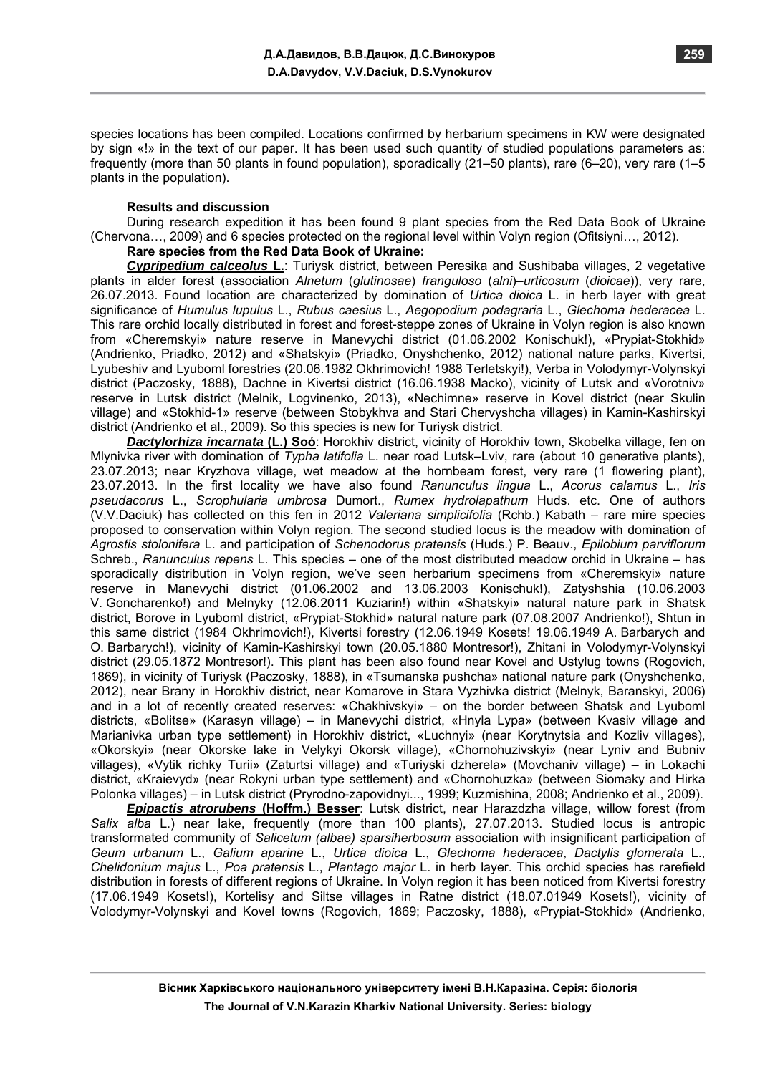species locations has been compiled. Locations confirmed by herbarium specimens in KW were designated by sign «!» in the text of our paper. It has been used such quantity of studied populations parameters as: frequently (more than 50 plants in found population), sporadically (21–50 plants), rare (6–20), very rare (1–5 plants in the population).

#### **Results and discussion**

During research expedition it has been found 9 plant species from the Red Data Book of Ukraine (Chervona…, 2009) and 6 species protected on the regional level within Volyn region (Ofitsiyni…, 2012).

# **Rare species from the Red Data Book of Ukraine:**

*Cypripedium calceolus* **L.**: Turiysk district, between Peresika and Sushibaba villages, 2 vegetative plants in alder forest (association *Alnetum* (*glutinosae*) *franguloso* (*alni*)–*urticosum* (*dioicae*)), very rare, 26.07.2013. Found location are characterized by domination of *Urtica dioica* L. in herb layer with great significance of *Humulus lupulus* L., *Rubus caesius* L., *Aegopodium podagraria* L., *Glechoma hederacea* L. This rare orchid locally distributed in forest and forest-steppe zones of Ukraine in Volyn region is also known from «Cheremskyi» nature reserve in Manevychi district (01.06.2002 Konischuk!), «Prypiat-Stokhid» (Andrienko, Priadko, 2012) and «Shatskyi» (Priadko, Onyshchenko, 2012) national nature parks, Kivertsi, Lyubeshiv and Lyuboml forestries (20.06.1982 Okhrimovich! 1988 Terletskyi!), Verba in Volodymyr-Volynskyi district (Paczosky, 1888), Dachne in Kivertsi district (16.06.1938 Macko), vicinity of Lutsk and «Vorotniv» reserve in Lutsk district (Melnik, Logvinenko, 2013), «Nechimne» reserve in Kovel district (near Skulin village) and «Stokhid-1» reserve (between Stobykhva and Stari Chervyshcha villages) in Kamin-Kashirskyi district (Andrienko et al., 2009). So this species is new for Turiysk district.

*Dactylorhiza incarnata* **(L.) Soó**: Horokhiv district, vicinity of Horokhiv town, Skobelka village, fen on Mlynivka river with domination of *Typha latifolia* L. near road Lutsk–Lviv, rare (about 10 generative plants), 23.07.2013; near Kryzhova village, wet meadow at the hornbeam forest, very rare (1 flowering plant), 23.07.2013. In the first locality we have also found *Ranunculus lingua* L., *Acorus calamus* L., *Iris pseudacorus* L., *Scrophularia umbrosa* Dumort., *Rumex hydrolapathum* Huds. etc. One of authors (V.V.Daciuk) has collected on this fen in 2012 *Valeriana simplicifolia* (Rchb.) Kabath – rare mire species proposed to conservation within Volyn region. The second studied locus is the meadow with domination of *Agrostis stolonifera* L. and participation of *Schenodorus pratensis* (Huds.) P. Beauv., *Epilobium parviflorum* Schreb., *Ranunculus repens* L. This species – one of the most distributed meadow orchid in Ukraine – has sporadically distribution in Volyn region, we've seen herbarium specimens from «Cheremskyi» nature reserve in Manevychi district (01.06.2002 and 13.06.2003 Konischuk!), Zatyshshia (10.06.2003 V. Goncharenko!) and Melnyky (12.06.2011 Kuziarin!) within «Shatskyi» natural nature park in Shatsk district, Borove in Lyuboml district, «Prypiat-Stokhid» natural nature park (07.08.2007 Andrienko!), Shtun in this same district (1984 Okhrimovich!), Kivertsi forestry (12.06.1949 Kosets! 19.06.1949 A. Barbarych and O. Barbarych!), vicinity of Kamin-Kashirskyi town (20.05.1880 Montresor!), Zhitani in Volodymyr-Volynskyi district (29.05.1872 Montresor!). This plant has been also found near Kovel and Ustylug towns (Rogovich, 1869), in vicinity of Turiysk (Paczosky, 1888), in «Tsumanska pushcha» national nature park (Оnyshchenko, 2012), near Brany in Horokhiv district, near Komarove in Stara Vyzhivka district (Melnyk, Baranskyi, 2006) and in a lot of recently created reserves: «Chakhivskyi» – on the border between Shatsk and Lyuboml districts, «Bolitse» (Karasyn village) – in Manevychi district, «Hnyla Lypa» (between Kvasiv village and Marianivka urban type settlement) in Horokhiv district, «Luchnyi» (near Korytnytsia and Kozliv villages), «Okorskyi» (near Okorske lake in Velykyi Okorsk village), «Chornohuzivskyi» (near Lyniv and Bubniv villages), «Vytik richky Turii» (Zaturtsi village) and «Turiyski dzherela» (Movchaniv village) – in Lokachi district, «Kraievyd» (near Rokyni urban type settlement) and «Chornohuzka» (between Siomaky and Hirka Polonka villages) – in Lutsk district (Pryrodno-zapovidnyi..., 1999; Kuzmishina, 2008; Аndrienko et al., 2009).

*Epipactis atrorubens* **(Hoffm.) Besser**: Lutsk district, near Harazdzha village, willow forest (from *Salix alba* L.) near lake, frequently (more than 100 plants), 27.07.2013. Studied locus is antropic transformated community of *Salicetum (albae) sparsiherbosum* association with insignificant participation of *Geum urbanum* L., *Galium aparine* L., *Urtica dioica* L., *Glechoma hederacea*, *Dactylis glomerata* L., *Chelidonium majus* L., *Poa pratensis* L., *Plantago major* L. in herb layer. This orchid species has rarefield distribution in forests of different regions of Ukraine. In Volyn region it has been noticed from Kivertsi forestry (17.06.1949 Kosets!), Kortelisy and Siltse villages in Ratne district (18.07.01949 Kosets!), vicinity of Volodymyr-Volynskyi and Kovel towns (Rogovich, 1869; Paczosky, 1888), «Prypiat-Stokhid» (Аndrienko,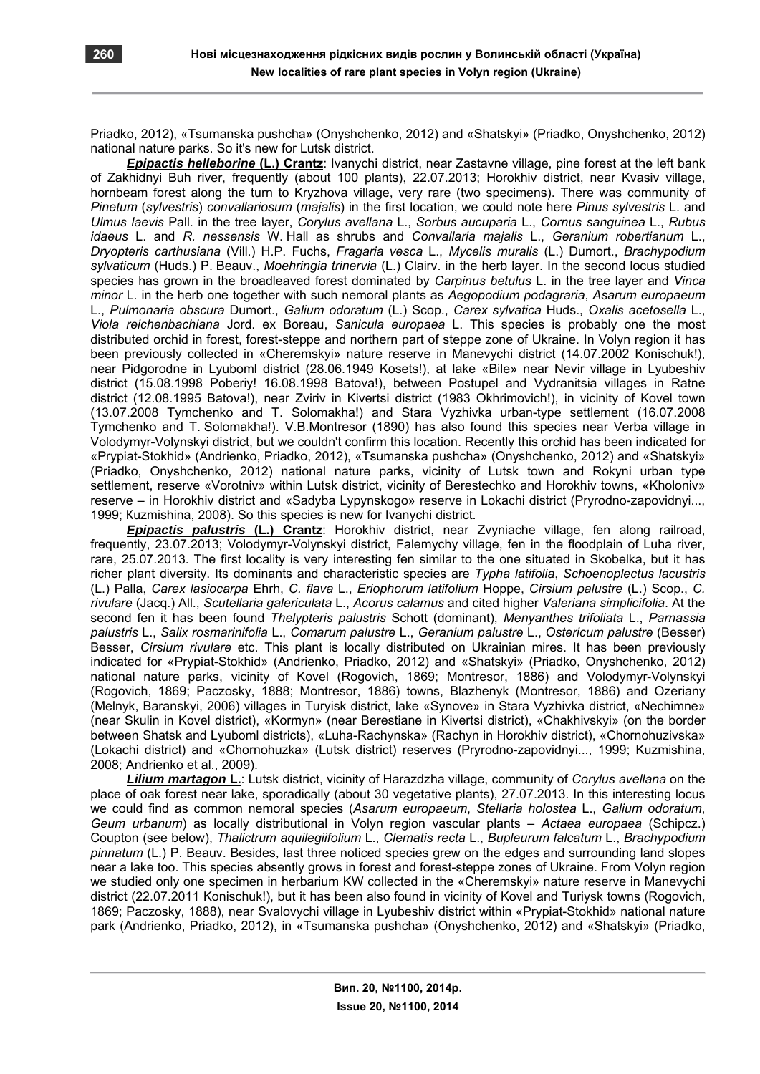Priadko, 2012), «Tsumanska pushcha» (Оnyshchenko, 2012) and «Shatskyi» (Priadko, Onyshchenko, 2012) national nature parks. So it's new for Lutsk district.

*Epipactis helleborine* **(L.) Crantz**: Ivanychi district, near Zastavne village, pine forest at the left bank of Zakhidnyi Buh river, frequently (about 100 plants), 22.07.2013; Horokhiv district, near Kvasiv village, hornbeam forest along the turn to Kryzhova village, very rare (two specimens). There was community of *Pinetum* (*sylvestris*) *convallariosum* (*majalis*) in the first location, we could note here *Pinus sylvestris* L. and *Ulmus laevis* Pall. in the tree layer, *Corylus avellana* L., *Sorbus aucuparia* L., *Cornus sanguinea* L., *Rubus idaeus* L. and *R. nessensis* W. Hall as shrubs and *Convallaria majalis* L., *Geranium robertianum* L., *Dryopteris carthusiana* (Vill.) H.P. Fuchs, *Fragaria vesca* L., *Mycelis muralis* (L.) Dumort., *Brachypodium sylvaticum* (Huds.) P. Beauv., *Moehringia trinervia* (L.) Clairv. in the herb layer. In the second locus studied species has grown in the broadleaved forest dominated by *Carpinus betulus* L. in the tree layer and *Vinca minor* L. in the herb one together with such nemoral plants as *Aegopodium podagraria*, *Asarum europaeum* L., *Pulmonaria obscura* Dumort., *Galium odoratum* (L.) Scop., *Carex sylvatica* Huds., *Oxalis acetosella* L., *Viola reichenbachiana* Jord. ex Boreau, *Sanicula europaea* L. This species is probably one the most distributed orchid in forest, forest-steppe and northern part of steppe zone of Ukraine. In Volyn region it has been previously collected in «Cheremskyi» nature reserve in Manevychi district (14.07.2002 Konischuk!), near Pidgorodne in Lyuboml district (28.06.1949 Kosets!), at lake «Bile» near Nevir village in Lyubeshiv district (15.08.1998 Poberiy! 16.08.1998 Batova!), between Postupel and Vydranitsia villages in Ratne district (12.08.1995 Batova!), near Zviriv in Kivertsi district (1983 Okhrimovich!), in vicinity of Kovel town (13.07.2008 Tymchenko and T. Solomakha!) and Stara Vyzhivka urban-type settlement (16.07.2008 Tymchenko and T. Solomakha!). V.B.Montresor (1890) has also found this species near Verba village in Volodymyr-Volynskyi district, but we couldn't confirm this location. Recently this orchid has been indicated for «Prypiat-Stokhid» (Andrienko, Priadko, 2012), «Tsumanska pushcha» (Onyshchenko, 2012) and «Shatskyi» (Priadko, Оnyshchenko, 2012) national nature parks, vicinity of Lutsk town and Rokyni urban type settlement, reserve «Vorotniv» within Lutsk district, vicinity of Berestechko and Horokhiv towns, «Kholoniv» reserve – in Horokhiv district and «Sadyba Lypynskogo» reserve in Lokachi district (Pryrodno-zapovidnyi..., 1999; Кuzmishina, 2008). So this species is new for Ivanychi district.

*Epipactis palustris* **(L.) Crantz**: Horokhiv district, near Zvyniache village, fen along railroad, frequently, 23.07.2013; Volodymyr-Volynskyi district, Falemychy village, fen in the floodplain of Luha river, rare, 25.07.2013. The first locality is very interesting fen similar to the one situated in Skobelka, but it has richer plant diversity. Its dominants and characteristic species are *Typha latifolia*, *Schoenoplectus lacustris* (L.) Palla, *Carex lasiocarpa* Ehrh, *C. flava* L., *Eriophorum latifolium* Hoppe, *Cirsium palustre* (L.) Scop., *C. rivulare* (Jacq.) All., *Scutellaria galericulata* L., *Acorus calamus* and cited higher *Valeriana simplicifolia*. At the second fen it has been found *Thelypteris palustris* Schott (dominant), *Menyanthes trifoliata* L., *Parnassia palustris* L., *Salix rosmarinifolia* L., *Comarum palustre* L., *Geranium palustre* L., *Ostericum palustre* (Besser) Besser, *Cirsium rivulare* etc. This plant is locally distributed on Ukrainian mires. It has been previously indicated for «Prypiat-Stokhid» (Andrienko, Priadko, 2012) and «Shatskyi» (Priadko, Onyshchenko, 2012) national nature parks, vicinity of Kovel (Rogovich, 1869; Montresor, 1886) and Volodymyr-Volynskyi (Rogovich, 1869; Paczosky, 1888; Montresor, 1886) towns, Blazhenyk (Montresor, 1886) and Ozeriany (Меlnyk, Baranskyi, 2006) villages in Turyisk district, lake «Synove» in Stara Vyzhivka district, «Nechimne» (near Skulin in Kovel district), «Kormyn» (near Berestiane in Kivertsi district), «Chakhivskyi» (on the border between Shatsk and Lyuboml districts), «Luha-Rachynska» (Rachyn in Horokhiv district), «Chornohuzivska» (Lokachi district) and «Chornohuzka» (Lutsk district) reserves (Pryrodno-zapovidnyi..., 1999; Kuzmishina, 2008; Аndrienko et al., 2009).

*Lilium martagon* **L.**: Lutsk district, vicinity of Harazdzha village, community of *Corylus avellana* on the place of oak forest near lake, sporadically (about 30 vegetative plants), 27.07.2013. In this interesting locus we could find as common nemoral species (*Asarum europaeum*, *Stellaria holostea* L., *Galium odoratum*, *Geum urbanum*) as locally distributional in Volyn region vascular plants – *Actaea europaea* (Schipcz.) Coupton (see below), *Thalictrum aquilegiifolium* L., *Clematis recta* L., *Bupleurum falcatum* L., *Brachypodium pinnatum* (L.) P. Beauv. Besides, last three noticed species grew on the edges and surrounding land slopes near a lake too. This species absently grows in forest and forest-steppe zones of Ukraine. From Volyn region we studied only one specimen in herbarium KW collected in the «Cheremskyi» nature reserve in Manevychi district (22.07.2011 Konischuk!), but it has been also found in vicinity of Kovel and Turiysk towns (Rogovich, 1869; Paczosky, 1888), near Svalovychi village in Lyubeshiv district within «Prypiat-Stokhid» national nature park (Аndrienko, Priadko, 2012), in «Tsumanska pushcha» (Оnyshchenko, 2012) and «Shatskyi» (Priadko,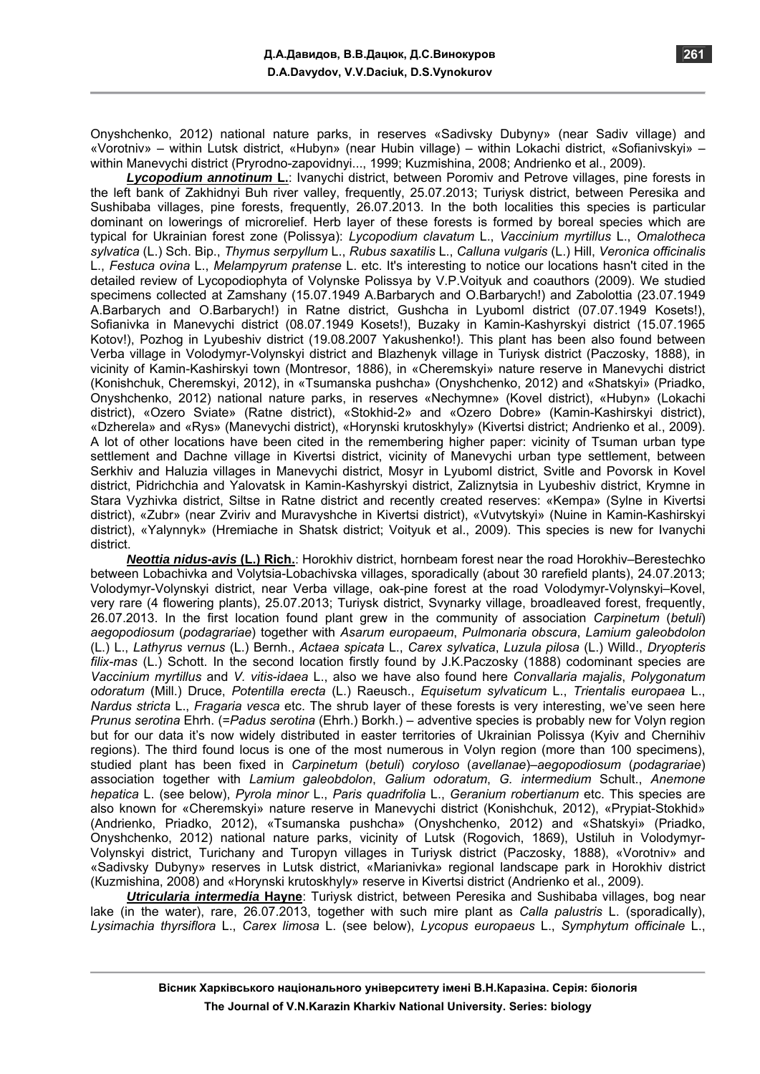Onyshchenko, 2012) national nature parks, in reserves «Sadivsky Dubyny» (near Sadiv village) and «Vorotniv» – within Lutsk district, «Hubyn» (near Hubin village) – within Lokachi district, «Sofianivskyi» – within Manevychi district (Pryrodno-zapovidnyi..., 1999; Kuzmishina, 2008; Аndrienko et al., 2009).

*Lycopodium annotinum* **L.**: Ivanychi district, between Poromiv and Petrove villages, pine forests in the left bank of Zakhidnyi Buh river valley, frequently, 25.07.2013; Turiysk district, between Peresika and Sushibaba villages, pine forests, frequently, 26.07.2013. In the both localities this species is particular dominant on lowerings of microrelief. Herb layer of these forests is formed by boreal species which are typical for Ukrainian forest zone (Polissya): *Lycopodium clavatum* L., *Vaccinium myrtillus* L., *Omalotheca sylvatica* (L.) Sch. Bip., *Thymus serpyllum* L., *Rubus saxatilis* L., *Calluna vulgaris* (L.) Hill, *Veronica officinalis* L., *Festuca ovina* L., *Melampyrum pratense* L. etc. It's interesting to notice our locations hasn't cited in the detailed review of Lycopodiophyta of Volynske Polissya by V.P.Voityuk and coauthors (2009). We studied specimens collected at Zamshany (15.07.1949 A.Barbarych and O.Barbarych!) and Zabolottia (23.07.1949 A.Barbarych and O.Barbarych!) in Ratne district, Gushcha in Lyuboml district (07.07.1949 Kosets!), Sofianivka in Manevychi district (08.07.1949 Kosets!), Buzaky in Kamin-Kashyrskyi district (15.07.1965 Kotov!), Pozhog in Lyubeshiv district (19.08.2007 Yakushenko!). This plant has been also found between Verba village in Volodymyr-Volynskyi district and Blazhenyk village in Turiysk district (Paczosky, 1888), in vicinity of Kamin-Kashirskyi town (Montresor, 1886), in «Cheremskyi» nature reserve in Manevychi district (Konishchuk, Cheremskyi, 2012), in «Tsumanska pushcha» (Onyshchenko, 2012) and «Shatskyi» (Priadko, Onyshchenko, 2012) national nature parks, in reserves «Nechymne» (Kovel district), «Hubyn» (Lokachi district), «Ozero Sviate» (Ratne district), «Stokhid-2» and «Ozero Dobre» (Kamin-Kashirskyi district), «Dzherela» and «Rys» (Manevychi district), «Horynski krutoskhyly» (Kivertsi district; Andrienko et al., 2009). A lot of other locations have been cited in the remembering higher paper: vicinity of Tsuman urban type settlement and Dachne village in Kivertsi district, vicinity of Manevychi urban type settlement, between Serkhiv and Haluzia villages in Manevychi district, Mosyr in Lyuboml district, Svitle and Povorsk in Kovel district, Pidrichchia and Yalovatsk in Kamin-Kashyrskyi district, Zaliznytsia in Lyubeshiv district, Krymne in Stara Vyzhivka district, Siltse in Ratne district and recently created reserves: «Kempa» (Sylne in Kivertsi district), «Zubr» (near Zviriv and Muravyshche in Kivertsi district), «Vutvytskyi» (Nuine in Kamin-Kashirskyi district), «Yalynnyk» (Hremiache in Shatsk district; Voityuk et al., 2009). This species is new for Ivanychi district.

*Neottia nidus-avis* **(L.) Rich.**: Horokhiv district, hornbeam forest near the road Horokhiv–Berestechko between Lobachivka and Volytsia-Lobachivska villages, sporadically (about 30 rarefield plants), 24.07.2013; Volodymyr-Volynskyi district, near Verba village, oak-pine forest at the road Volodymyr-Volynskyi–Kovel, very rare (4 flowering plants), 25.07.2013; Turiysk district, Svynarky village, broadleaved forest, frequently, 26.07.2013. In the first location found plant grew in the community of association *Carpinetum* (*betuli*) *aegopodiosum* (*podagrariae*) together with *Asarum europaeum*, *Pulmonaria obscura*, *Lamium galeobdolon* (L.) L., *Lathyrus vernus* (L.) Bernh., *Actaea spicata* L., *Carex sylvatica*, *Luzula pilosa* (L.) Willd., *Dryopteris filix-mas* (L.) Schott. In the second location firstly found by J.K.Paczosky (1888) codominant species are *Vaccinium myrtillus* and *V. vitis-idaea* L., also we have also found here *Convallaria majalis*, *Polygonatum odoratum* (Mill.) Druce, *Potentilla erecta* (L.) Raeusch., *Equisetum sylvaticum* L., *Trientalis europaea* L., *Nardus stricta* L., *Fragaria vesca* etc. The shrub layer of these forests is very interesting, we've seen here *Prunus serotina* Ehrh. (=*Padus serotina* (Ehrh.) Borkh.) – adventive species is probably new for Volyn region but for our data it's now widely distributed in easter territories of Ukrainian Polissya (Kyiv and Chernihiv regions). The third found locus is one of the most numerous in Volyn region (more than 100 specimens), studied plant has been fixed in *Carpinetum* (*betuli*) *coryloso* (*avellanae*)–*aegopodiosum* (*podagrariae*) association together with *Lamium galeobdolon*, *Galium odoratum*, *G. intermedium* Schult., *Anemone hepatica* L. (see below), *Pyrola minor* L., *Paris quadrifolia* L., *Geranium robertianum* etc. This species are also known for «Cheremskyi» nature reserve in Manevychi district (Konishchuk, 2012), «Prypiat-Stokhid» (Аndrienko, Priadko, 2012), «Tsumanska pushcha» (Оnyshchenkо, 2012) and «Shatskyi» (Priadko, Onyshchenko, 2012) national nature parks, vicinity of Lutsk (Rogovich, 1869), Ustiluh in Volodymyr-Volynskyi district, Turichany and Turopyn villages in Turiysk district (Paczosky, 1888), «Vorotniv» and «Sadivsky Dubyny» reserves in Lutsk district, «Marianivka» regional landscape park in Horokhiv district (Кuzmishina, 2008) and «Horynski krutoskhyly» reserve in Kivertsi district (Аndrienko et al., 2009).

*Utricularia intermedia* **Hayne**: Turiysk district, between Peresika and Sushibaba villages, bog near lake (in the water), rare, 26.07.2013, together with such mire plant as *Calla palustris* L. (sporadically), *Lysimachia thyrsiflora* L., *Carex limosa* L. (see below), *Lycopus europaeus* L., *Symphytum officinale* L.,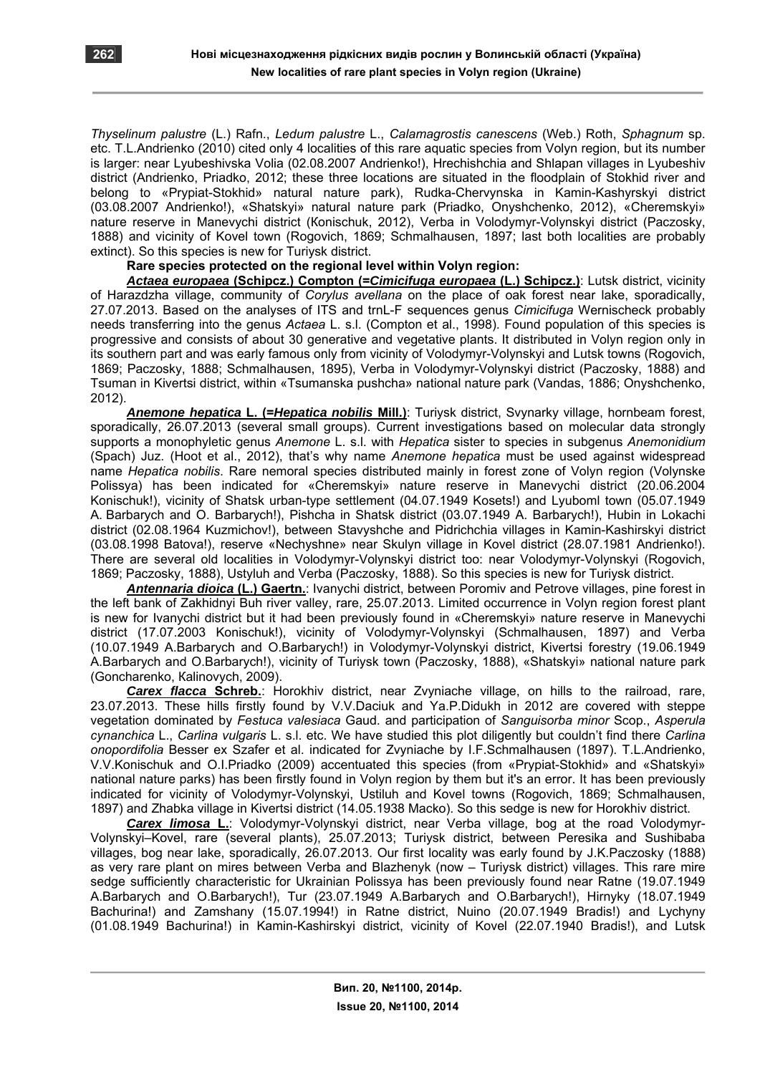*Thyselinum palustre* (L.) Rafn., *Ledum palustre* L., *Calamagrostis canescens* (Web.) Roth, *Sphagnum* sp. etc. T.L.Andrienko (2010) cited only 4 localities of this rare aquatic species from Volyn region, but its number is larger: near Lyubeshivska Volia (02.08.2007 Andrienko!), Hrechishchia and Shlapan villages in Lyubeshiv district (Аndrienko, Priadko, 2012; these three locations are situated in the floodplain of Stokhid river and belong to «Prypiat-Stokhid» natural nature park), Rudka-Chervynska in Kamin-Kashyrskyi district (03.08.2007 Andrienko!), «Shatskyi» natural nature park (Priadko, Onyshchenko, 2012), «Cheremskyi» nature reserve in Manevychi district (Коnischuk, 2012), Verba in Volodymyr-Volynskyi district (Paczosky, 1888) and vicinity of Kovel town (Rogovich, 1869; Schmalhausen, 1897; last both localities are probably extinct). So this species is new for Turiysk district.

## **Rare species protected on the regional level within Volyn region:**

*Actaea europaea* **(Schipcz.) Compton (=***Cimicifuga europaea* **(L.) Schipcz.)**: Lutsk district, vicinity of Harazdzha village, community of *Corylus avellana* on the place of oak forest near lake, sporadically, 27.07.2013. Based on the analyses of ITS and trnL-F sequences genus *Cimicifuga* Wernischeck probably needs transferring into the genus *Actaea* L. s.l. (Compton et al., 1998). Found population of this species is progressive and consists of about 30 generative and vegetative plants. It distributed in Volyn region only in its southern part and was early famous only from vicinity of Volodymyr-Volynskyi and Lutsk towns (Rogovich, 1869; Paczosky, 1888; Schmalhausen, 1895), Verba in Volodymyr-Volynskyi district (Paczosky, 1888) and Tsuman in Kivertsi district, within «Tsumanska pushcha» national nature park (Vandas, 1886; Оnyshchenko, 2012).

*Anemone hepatica* **L. (=***Hepatica nobilis* **Mill.)**: Turiysk district, Svynarky village, hornbeam forest, sporadically, 26.07.2013 (several small groups). Current investigations based on molecular data strongly supports a monophyletic genus *Anemone* L. s.l. with *Hepatica* sister to species in subgenus *Anemonidium* (Spach) Juz. (Hoot et al., 2012), that's why name *Anemone hepatica* must be used against widespread name *Hepatica nobilis*. Rare nemoral species distributed mainly in forest zone of Volyn region (Volynske Polissya) has been indicated for «Cheremskyi» nature reserve in Manevychi district (20.06.2004 Konischuk!), vicinity of Shatsk urban-type settlement (04.07.1949 Kosets!) and Lyuboml town (05.07.1949 A. Barbarych and O. Barbarych!), Pishcha in Shatsk district (03.07.1949 A. Barbarych!), Hubin in Lokachi district (02.08.1964 Kuzmichov!), between Stavyshche and Pidrichchia villages in Kamin-Kashirskyi district (03.08.1998 Batova!), reserve «Nechyshne» near Skulyn village in Kovel district (28.07.1981 Andrienko!). There are several old localities in Volodymyr-Volynskyi district too: near Volodymyr-Volynskyi (Rogovich, 1869; Paczosky, 1888), Ustyluh and Verba (Paczosky, 1888). So this species is new for Turiysk district.

*Antennaria dioica* **(L.) Gaertn.**: Ivanychi district, between Poromiv and Petrove villages, pine forest in the left bank of Zakhidnyi Buh river valley, rare, 25.07.2013. Limited occurrence in Volyn region forest plant is new for Ivanychi district but it had been previously found in «Cheremskyi» nature reserve in Manevychi district (17.07.2003 Konischuk!), vicinity of Volodymyr-Volynskyi (Schmalhausen, 1897) and Verba (10.07.1949 A.Barbarych and O.Barbarych!) in Volodymyr-Volynskyi district, Kivertsi forestry (19.06.1949 A.Barbarych and O.Barbarych!), vicinity of Turiysk town (Paczosky, 1888), «Shatskyi» national nature park (Goncharenko, Каlinovych, 2009).

*Carex flacca* **Schreb.**: Horokhiv district, near Zvyniache village, on hills to the railroad, rare, 23.07.2013. These hills firstly found by V.V.Daciuk and Ya.P.Didukh in 2012 are covered with steppe vegetation dominated by *Festuca valesiaca* Gaud. and participation of *Sanguisorba minor* Scop., *Asperula cynanchica* L., *Carlina vulgaris* L. s.l. etc. We have studied this plot diligently but couldn't find there *Carlina onopordifolia* Besser ex Szafer et al. indicated for Zvyniache by I.F.Schmalhausen (1897). T.L.Andrienko, V.V.Konischuk and O.I.Priadko (2009) accentuated this species (from «Prypiat-Stokhid» and «Shatskyi» national nature parks) has been firstly found in Volyn region by them but it's an error. It has been previously indicated for vicinity of Volodymyr-Volynskyi, Ustiluh and Kovel towns (Rogovich, 1869; Schmalhausen, 1897) and Zhabka village in Kivertsi district (14.05.1938 Macko). So this sedge is new for Horokhiv district.

*Carex limosa* **L.**: Volodymyr-Volynskyi district, near Verba village, bog at the road Volodymyr-Volynskyi–Kovel, rare (several plants), 25.07.2013; Turiysk district, between Peresika and Sushibaba villages, bog near lake, sporadically, 26.07.2013. Our first locality was early found by J.K.Paczosky (1888) as very rare plant on mires between Verba and Blazhenyk (now – Turiysk district) villages. This rare mire sedge sufficiently characteristic for Ukrainian Polissya has been previously found near Ratne (19.07.1949 A.Barbarych and O.Barbarych!), Tur (23.07.1949 A.Barbarych and O.Barbarych!), Hirnyky (18.07.1949 Bachurina!) and Zamshany (15.07.1994!) in Ratne district, Nuino (20.07.1949 Bradis!) and Lychyny (01.08.1949 Bachurina!) in Kamin-Kashirskyi district, vicinity of Kovel (22.07.1940 Bradis!), and Lutsk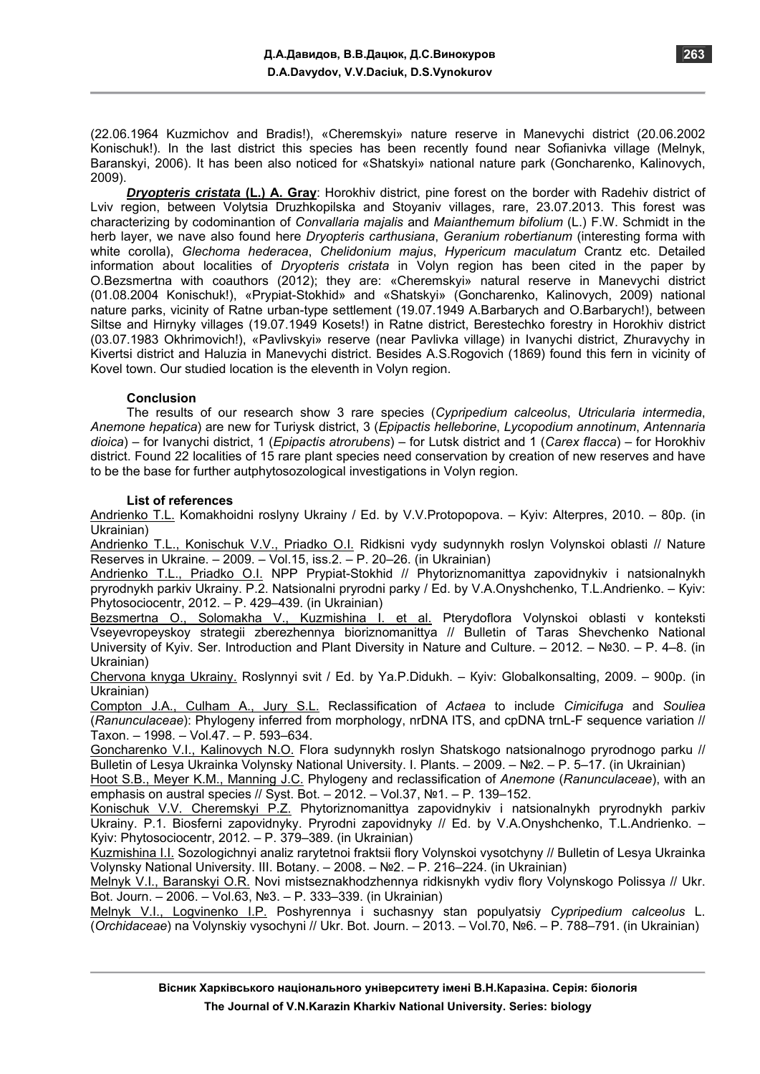(22.06.1964 Kuzmichov and Bradis!), «Cheremskyi» nature reserve in Manevychi district (20.06.2002 Konischuk!). In the last district this species has been recently found near Sofianivka village (Melnyk, Baranskyi, 2006). It has been also noticed for «Shatskyi» national nature park (Goncharenko, Kalinovych, 2009).

*Dryopteris cristata* **(L.) A. Gray**: Horokhiv district, pine forest on the border with Radehiv district of Lviv region, between Volytsia Druzhkopilska and Stoyaniv villages, rare, 23.07.2013. This forest was characterizing by codominantion of *Convallaria majalis* and *Maianthemum bifolium* (L.) F.W. Schmidt in the herb layer, we nave also found here *Dryopteris carthusiana*, *Geranium robertianum* (interesting forma with white corolla), *Glechoma hederacea*, *Chelidonium majus*, *Hypericum maculatum* Crantz etc. Detailed information about localities of *Dryopteris cristata* in Volyn region has been cited in the paper by O.Bezsmertna with coauthors (2012); they are: «Cheremskyi» natural reserve in Manevychi district (01.08.2004 Konischuk!), «Prypiat-Stokhid» and «Shatskyi» (Goncharenko, Kalinovych, 2009) national nature parks, vicinity of Ratne urban-type settlement (19.07.1949 A.Barbarych and O.Barbarych!), between Siltse and Hirnyky villages (19.07.1949 Kosets!) in Ratne district, Berestechko forestry in Horokhiv district (03.07.1983 Okhrimovich!), «Pavlivskyi» reserve (near Pavlivka village) in Ivanychi district, Zhuravychy in Kivertsi district and Haluzia in Manevychi district. Besides A.S.Rogovich (1869) found this fern in vicinity of Kovel town. Our studied location is the eleventh in Volyn region.

## **Conclusion**

The results of our research show 3 rare species (*Cypripedium calceolus*, *Utricularia intermedia*, *Anemone hepatica*) are new for Turiysk district, 3 (*Epipactis helleborine*, *Lycopodium annotinum*, *Antennaria dioica*) – for Ivanychi district, 1 (*Epipactis atrorubens*) – for Lutsk district and 1 (*Carex flacca*) – for Horokhiv district. Found 22 localities of 15 rare plant species need conservation by creation of new reserves and have to be the base for further autphytosozological investigations in Volyn region.

## **List of references**

Andrienko Т.L. Komakhoidni roslyny Ukrainy / Ed. by V.V.Protopopova. – Kyiv: Alterpres, 2010. – 80p. (in Ukrainian)

Andrienko T.L., Konischuk V.V., Priadko O.I. Ridkisni vydy sudynnykh roslyn Volynskoi oblasti // Nature Reserves in Ukraine. – 2009. – Vol.15, iss.2. – P. 20–26. (in Ukrainian)

Andrienko T.L., Priadko O.I. NPP Prypiat-Stokhid // Phytoriznomanittya zapovidnykiv i natsionalnykh pryrodnykh parkiv Ukrainy. P.2. Natsionalni pryrodni parky / Ed. by V.A.Onyshchenko, T.L.Andrienko. – Кyiv: Phytosociocentr, 2012. – P. 429–439. (in Ukrainian)

Bezsmertna О., Solomakha V., Kuzmishina I. et al. Pterydoflora Volynskoi oblasti v konteksti Vseyevropeyskoy strategii zberezhennya bioriznomanittya // Bulletin of Taras Shevchenko National University of Kyiv. Ser. Introduction and Plant Diversity in Nature and Culture. – 2012. – №30. – P. 4–8. (in Ukrainian)

Chervona knyga Ukrainy. Roslynnyi svit / Ed. by Ya.P.Didukh. – Кyiv: Globalkonsalting, 2009. – 900p. (in Ukrainian)

Compton J.A., Culham A., Jury S.L. Reclassification of *Actaea* to include *Cimicifuga* and *Souliea* (*Ranunculaceae*): Phylogeny inferred from morphology, nrDNA ITS, and cpDNA trnL-F sequence variation // Taxon. – 1998. – Vol.47. – P. 593–634.

Goncharenko V.I., Kalinovych N.O. Flora sudynnykh roslyn Shatskogo natsionalnogo pryrodnogo parku // Bulletin of Lesya Ukrainka Volynsky National University. I. Plants. – 2009. – №2. – Р. 5–17. (in Ukrainian)

Hoot S.B., Meyer K.M., Manning J.C. Phylogeny and reclassification of *Anemone* (*Ranunculaceae*), with an emphasis on austral species // Syst. Bot. – 2012. – Vol.37, Nº1. – P. 139–152.

Konischuk V.V. Cheremskyi P.Z. Phytoriznomanittya zapovidnykiv i natsionalnykh pryrodnykh parkiv Ukrainy. P.1. Biosferni zapovidnyky. Pryrodni zapovidnyky // Ed. by V.A.Onyshchenko, T.L.Andrienko. – Кyiv: Phytosociocentr, 2012. – P. 379–389. (in Ukrainian)

Kuzmishina I.I. Sozologichnyi analiz rarytetnoi fraktsii flory Volynskoi vysotchyny // Bulletin of Lesya Ukrainka Volynsky National University. ІІІ. Botany. – 2008. – №2. – P. 216–224. (in Ukrainian)

Melnyk V.I., Baranskyi O.R. Novi mistseznakhodzhennya ridkisnykh vydiv flory Volynskogo Polissya // Ukr. Bot. Journ. – 2006. – Vol.63, №3. – P. 333–339. (in Ukrainian)

Melnyk V.I., Logvinenko I.P. Poshyrennya i suchasnyy stan populyatsiy *Cypripedium calceolus* L. (*Orchidaceae*) na Volynskiy vysochyni // Ukr. Bot. Journ. – 2013. – Vol.70, №6. – P. 788–791. (in Ukrainian)